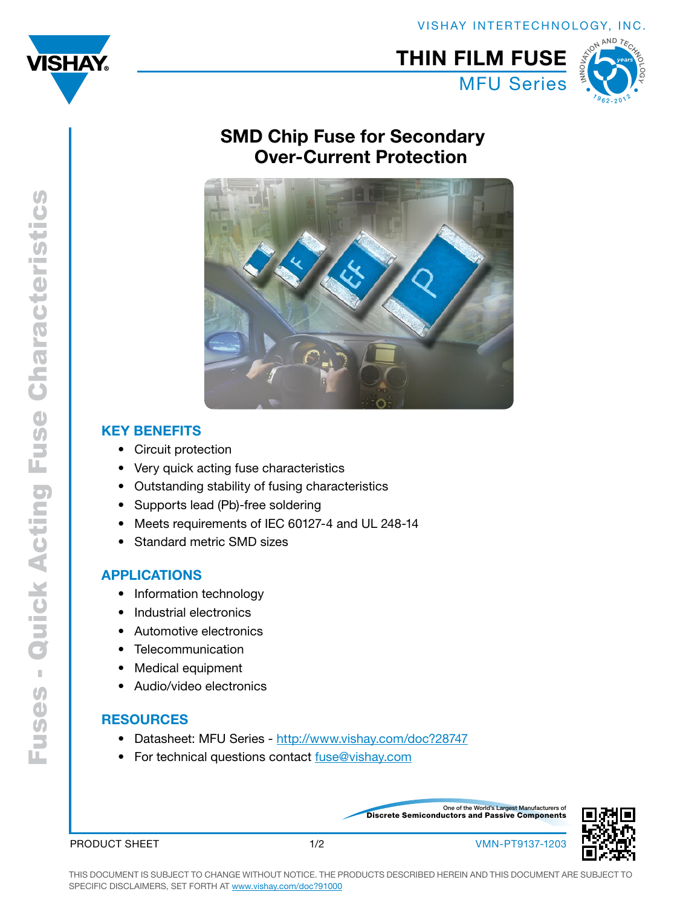



#### MFU Series THIN FILM FUSE NI AND TECHN[O](http://www.vishay.com/landingpage/50year/)LOGY  $v_{\frac{1}{2}}$  $-201^2$

## SMD Chip Fuse for Secondary Over-Current Protection



### Key Benefits

- • Circuit protection
- Very quick acting fuse characteristics
- • Outstanding stability of fusing characteristics
- Supports lead (Pb)-free soldering
- Meets requirements of IEC 60127-4 and UL 248-14
- Standard metric SMD sizes

### APPLICATIONS

- Information technology
- Industrial electronics
- • Automotive electronics
- Telecommunication
- • Medical equipment
- • Audio/video electronics

### **RESOURCES**

- Datasheet: MFU Series http://www.vishay.com/doc?28747
- For technical questions contact fuse@vishay.com

Discrete Semiconductors and Passive Components One of the World's Largest Manufacturers of



PRODUCT SHEET